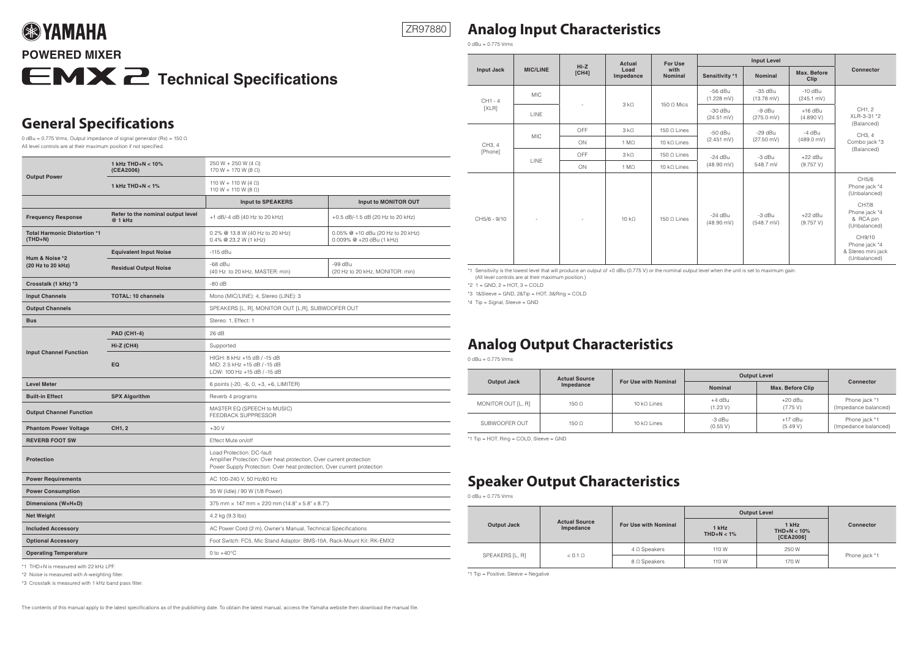#### ZR97880

### **Analog Input Characteristics**

 $0$  dBu = 0.775 Vrms

| <b>Output Power</b>                              | 1 kHz THD+N $<$ 10%<br>(CEA2006)             | 250 W + 250 W (4 $\Omega$ )<br>170 W + 170 W (8 $\Omega$ )                                                                                                                 |                                                                  |  |  |
|--------------------------------------------------|----------------------------------------------|----------------------------------------------------------------------------------------------------------------------------------------------------------------------------|------------------------------------------------------------------|--|--|
|                                                  | 1 kHz $THD+N < 1%$                           | 110 W + 110 W (4 $\Omega$ )<br>110 W + 110 W (8 $\Omega$ )                                                                                                                 |                                                                  |  |  |
|                                                  |                                              | <b>Input to SPEAKERS</b>                                                                                                                                                   | Input to MONITOR OUT                                             |  |  |
| <b>Frequency Response</b>                        | Refer to the nominal output level<br>@ 1 kHz | +1 dB/-4 dB (40 Hz to 20 kHz)                                                                                                                                              | +0.5 dB/-1.5 dB (20 Hz to 20 kHz)                                |  |  |
| <b>Total Harmonic Distortion *1</b><br>$(THD+N)$ |                                              | 0.2% @ 13.8 W (40 Hz to 20 kHz)<br>0.4% @ 23.2 W (1 kHz)                                                                                                                   | 0.05% @ +10 dBu (20 Hz to 20 kHz)<br>$0.009\%$ @ +20 dBu (1 kHz) |  |  |
|                                                  | <b>Equivalent Input Noise</b>                | $-115$ dBu                                                                                                                                                                 |                                                                  |  |  |
| Hum & Noise *2<br>(20 Hz to 20 kHz)              | <b>Residual Output Noise</b>                 | $-68$ dBu<br>(40 Hz to 20 kHz, MASTER: min)                                                                                                                                | $-99$ dBu<br>(20 Hz to 20 kHz, MONITOR: min)                     |  |  |
| Crosstalk (1 kHz) *3                             |                                              | $-80$ dB                                                                                                                                                                   |                                                                  |  |  |
| <b>Input Channels</b>                            | <b>TOTAL: 10 channels</b>                    | Mono (MIC/LINE): 4, Stereo (LINE): 3                                                                                                                                       |                                                                  |  |  |
| <b>Output Channels</b>                           |                                              | SPEAKERS [L, R], MONITOR OUT [L,R], SUBWOOFER OUT                                                                                                                          |                                                                  |  |  |
| <b>Bus</b>                                       |                                              | Stereo: 1, Effect: 1                                                                                                                                                       |                                                                  |  |  |
|                                                  | <b>PAD (CH1-4)</b>                           | 26 dB                                                                                                                                                                      |                                                                  |  |  |
|                                                  | <b>Hi-Z (CH4)</b>                            | Supported                                                                                                                                                                  |                                                                  |  |  |
| <b>Input Channel Function</b>                    | EQ                                           | HIGH: 8 kHz +15 dB / -15 dB<br>MID: 2.5 kHz +15 dB / -15 dB<br>LOW: 100 Hz +15 dB / -15 dB                                                                                 |                                                                  |  |  |
| <b>Level Meter</b>                               |                                              | 6 points (-20, -6, 0, +3, +6, LIMITER)                                                                                                                                     |                                                                  |  |  |
| <b>Built-in Effect</b>                           | <b>SPX Algorithm</b>                         | Reverb 4 programs                                                                                                                                                          |                                                                  |  |  |
| <b>Output Channel Function</b>                   |                                              | MASTER EQ (SPEECH to MUSIC)<br>FEEDBACK SUPPRESSOR                                                                                                                         |                                                                  |  |  |
| <b>Phantom Power Voltage</b>                     | CH1, 2                                       | $+30V$                                                                                                                                                                     |                                                                  |  |  |
| <b>REVERB FOOT SW</b>                            |                                              | Effect Mute on/off                                                                                                                                                         |                                                                  |  |  |
| <b>Protection</b>                                |                                              | Load Protection: DC-fault<br>Amplifier Protection: Over heat protection, Over current protection<br>Power Supply Protection: Over heat protection, Over current protection |                                                                  |  |  |
| <b>Power Requirements</b>                        |                                              | AC 100-240 V, 50 Hz/60 Hz                                                                                                                                                  |                                                                  |  |  |
| <b>Power Consumption</b>                         |                                              | 35 W (Idle) / 90 W (1/8 Power)                                                                                                                                             |                                                                  |  |  |
| Dimensions (WxHxD)                               |                                              | 375 mm × 147 mm × 220 mm (14.8" x 5.8" x 8.7")                                                                                                                             |                                                                  |  |  |
| <b>Net Weight</b>                                |                                              | 4.2 kg (9.3 lbs)                                                                                                                                                           |                                                                  |  |  |
| <b>Included Accessory</b>                        |                                              | AC Power Cord (2 m), Owner's Manual, Technical Specifications                                                                                                              |                                                                  |  |  |
| <b>Optional Accessory</b>                        |                                              | Foot Switch: FC5, Mic Stand Adaptor: BMS-10A, Rack-Mount Kit: RK-EMX2                                                                                                      |                                                                  |  |  |
| <b>Operating Temperature</b>                     |                                              | 0 to $+40^{\circ}$ C                                                                                                                                                       |                                                                  |  |  |

\*1 THD+N is measured with 22 kHz LPF.

\*2 Noise is measured with A-weighting filter.

\*3 Crosstalk is measured with 1 kHz band pass filter.

The contents of this manual apply to the latest specifications as of the publishing date. To obtain the latest manual, access the Yamaha website then download the manual file.

|                    |                                               | $Hi-Z$<br><b>MIC/LINE</b><br>[CH4] | <b>Actual</b><br>Load<br>Impedance | <b>For Use</b><br>with<br><b>Nominal</b> | <b>Input Level</b>                |                                   |                                   |                                                                                                                                                                |
|--------------------|-----------------------------------------------|------------------------------------|------------------------------------|------------------------------------------|-----------------------------------|-----------------------------------|-----------------------------------|----------------------------------------------------------------------------------------------------------------------------------------------------------------|
| Input Jack         |                                               |                                    |                                    |                                          | Sensitivity *1                    | <b>Nominal</b>                    | Max. Before<br>Clip               | <b>Connector</b>                                                                                                                                               |
| $CH1 - 4$<br>[XLR] | <b>MIC</b>                                    |                                    | 3 k <sub>0</sub>                   | 150 $\Omega$ Mics                        | $-56$ dBu<br>$(1.228 \text{ mV})$ | $-35$ dBu<br>$(13.78 \text{ mV})$ | $-10$ dBu<br>$(245.1 \text{ mV})$ | CH1, 2<br>XLR-3-31 *2                                                                                                                                          |
|                    | LINE                                          |                                    |                                    |                                          | $-30$ dBu<br>$(24.51 \text{ mV})$ | -9 dBu<br>$(275.0 \text{ mV})$    | $+16$ dBu<br>(4.890 V)            |                                                                                                                                                                |
|                    | 3 k <sub>0</sub><br>OFF<br>150 $\Omega$ Lines | $-50$ dBu                          | $-29$ dBu                          | -4 dBu                                   | (Balanced)<br>CH3, 4              |                                   |                                   |                                                                                                                                                                |
| CH3, 4             | <b>MIC</b>                                    | ON                                 | $1 M\Omega$                        | 10 $k\Omega$ Lines                       | $(2.451 \text{ mV})$              | $(27.50 \text{ mV})$              | $(489.0 \text{ mV})$              | Combo jack *3<br>(Balanced)                                                                                                                                    |
| [Phone]            | <b>LINE</b>                                   | OFF                                | 3 k <sub>0</sub>                   | 150 $\Omega$ Lines                       | $-24$ dBu<br>$(48.90 \text{ mV})$ | -3 dBu<br>548.7 mV                | $+22$ dBu<br>(9.757 V)            |                                                                                                                                                                |
|                    |                                               | ON                                 | $1 M\Omega$                        | 10 $k\Omega$ Lines                       |                                   |                                   |                                   |                                                                                                                                                                |
| CH5/6 - 9/10       |                                               |                                    | $10 k\Omega$                       | $150$ O Lines                            | $-24$ dBu<br>$(48.90 \text{ mV})$ | -3 dBu<br>$(548.7 \text{ mV})$    | $+22$ dBu<br>(9.757 V)            | CH5/6<br>Phone jack *4<br>(Unbalanced)<br>CH7/8<br>Phone jack *4<br>& RCA pin<br>(Unbalanced)<br>CH9/10<br>Phone jack *4<br>& Stereo mini jack<br>(Unbalanced) |

\*1 Sensitivity is the lowest level that will produce an output of +0 dBu (0.775 V) or the nominal output level when the unit is set to maximum gain.  $(A)$ l level controls are at their maximum position.)

 $*2$  1 = GND, 2 = HOT, 3 = COLD

 $*3$  1&Sleeve = GND, 2&Tip = HOT, 3&Ring = COLD

 $*4$  Tip = Signal, Sleeve = GND

## **Analog Output Characteristics**

 $0$  dBu = 0.775 Vrms

|                    | <b>Actual Source</b> | For Use with Nominal | <b>Output Level</b> |                         |                                       |  |
|--------------------|----------------------|----------------------|---------------------|-------------------------|---------------------------------------|--|
| <b>Output Jack</b> | Impedance            |                      | <b>Nominal</b>      | <b>Max. Before Clip</b> | Connector                             |  |
| MONITOR OUT [L, R] | $150 \Omega$         | 10 k $\Omega$ Lines  | +4 dBu<br>(1.23 V)  | $+20$ dBu<br>(7.75 V)   | Phone jack *1<br>(Impedance balanced) |  |
| SUBWOOFER OUT      | $150 \Omega$         | $10 kO$ Lines        | -3 dBu<br>(0.55 V)  | $+17$ dBu<br>(5.49 V)   | Phone jack *1<br>(Impedance balanced) |  |

 $*1$  Tip = HOT, Ring = COLD, Sleeve = GND

### **Speaker Output Characteristics**

 $0$  dBu = 0.775 Vrms

|                 |                                   |                      | <b>Output Level</b>   |                                      |                  |
|-----------------|-----------------------------------|----------------------|-----------------------|--------------------------------------|------------------|
| Output Jack     | <b>Actual Source</b><br>Impedance | For Use with Nominal | 1 kHz<br>$THD+N < 1%$ | 1 kHz<br>$THD+N < 10\%$<br>[CEA2006] | <b>Connector</b> |
|                 | $< 0.1 \Omega$                    | $4 \Omega$ Speakers  | 110 W                 | 250 W                                |                  |
| SPEAKERS [L, R] |                                   | $8 \Omega$ Speakers  | 110 W                 | 170 W                                | Phone jack *1    |

 $*1$  Tip = Positive, Sleeve = Negative

| <b>POWERED MIXER</b> |                                       |
|----------------------|---------------------------------------|
|                      | <b>EMX</b> 2 Technical Specifications |

## **General Specifications**

**SEPTAMAHA** 

0 dBu = 0.775 Vrms, Output impedance of signal generator (Rs) = 150  $\Omega$ All level controls are at their maximum position if not specified.